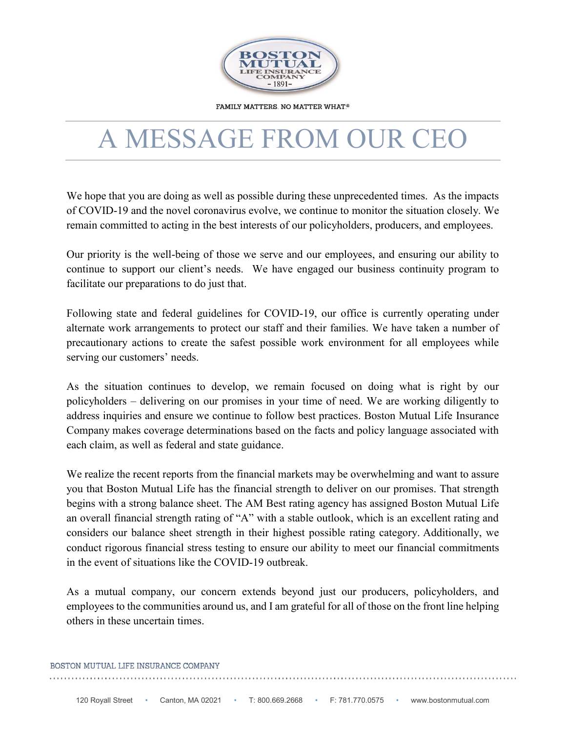

FAMILY MATTERS. NO MATTER WHAT.®

## A MESSAGE FROM OUR CEO

 We hope that you are doing as well as possible during these unprecedented times. As the impacts of COVID-19 and the novel coronavirus evolve, we continue to monitor the situation closely. We remain committed to acting in the best interests of our policyholders, producers, and employees.

 Our priority is the well-being of those we serve and our employees, and ensuring our ability to continue to support our client's needs. We have engaged our business continuity program to facilitate our preparations to do just that.

 Following state and federal guidelines for COVID-19, our office is currently operating under alternate work arrangements to protect our staff and their families. We have taken a number of precautionary actions to create the safest possible work environment for all employees while serving our customers' needs.

 policyholders – delivering on our promises in your time of need. We are working diligently to address inquiries and ensure we continue to follow best practices. Boston Mutual Life Insurance Company makes coverage determinations based on the facts and policy language associated with As the situation continues to develop, we remain focused on doing what is right by our each claim, as well as federal and state guidance.

 We realize the recent reports from the financial markets may be overwhelming and want to assure begins with a strong balance sheet. The AM Best rating agency has assigned Boston Mutual Life an overall financial strength rating of "A" with a stable outlook, which is an excellent rating and conduct rigorous financial stress testing to ensure our ability to meet our financial commitments you that Boston Mutual Life has the financial strength to deliver on our promises. That strength considers our balance sheet strength in their highest possible rating category. Additionally, we in the event of situations like the COVID-19 outbreak.

 employees to the communities around us, and I am grateful for all of those on the front line helping As a mutual company, our concern extends beyond just our producers, policyholders, and others in these uncertain times.

## BOSTON MUTUAL LIFE INSURANCE COMPANY .<br>The contract of the contract of the contract of the contract of the contract of the contract of the contract of